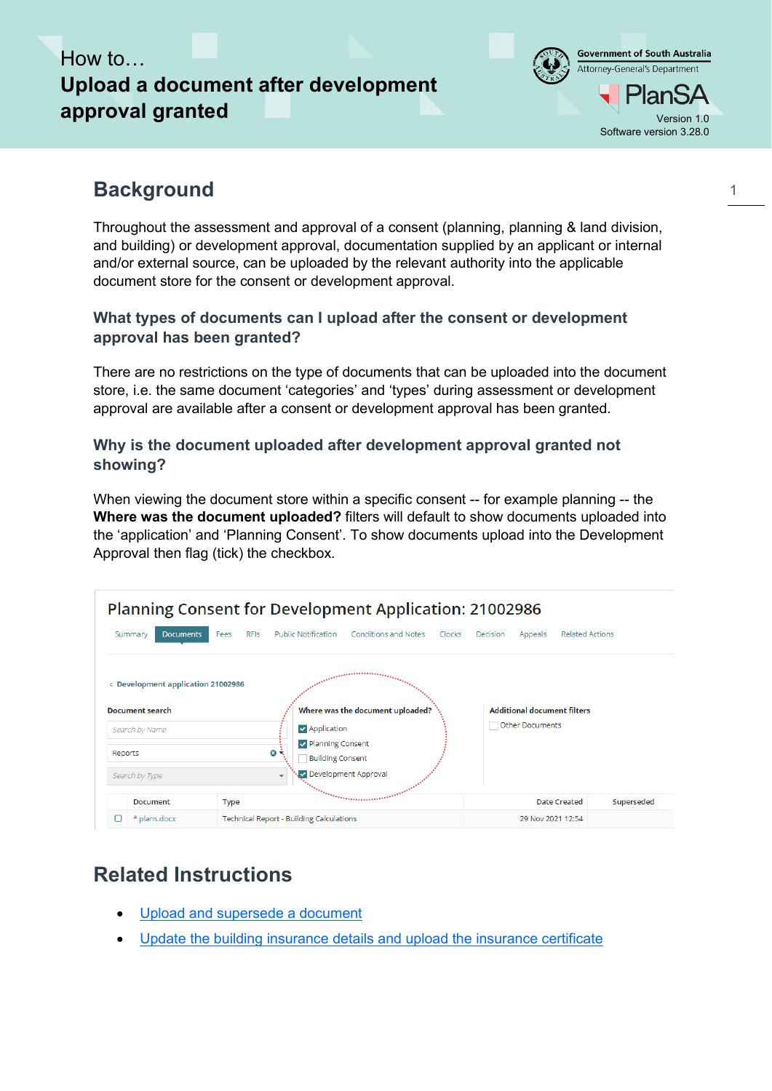# How to… **Upload a document after development approval granted** Version 1.0



## **Background**

Throughout the assessment and approval of a consent (planning, planning & land division, and building) or development approval, documentation supplied by an applicant or internal and/or external source, can be uploaded by the relevant authority into the applicable document store for the consent or development approval.

#### **What types of documents can I upload after the consent or development approval has been granted?**

There are no restrictions on the type of documents that can be uploaded into the document store, i.e. the same document 'categories' and 'types' during assessment or development approval are available after a consent or development approval has been granted.

#### **Why is the document uploaded after development approval granted not showing?**

When viewing the document store within a specific consent -- for example planning -- the **Where was the document uploaded?** filters will default to show documents uploaded into the 'application' and 'Planning Consent'. To show documents upload into the Development Approval then flag (tick) the checkbox.

|         |                                         |                     |                                                    | <b>Planning Consent for Development Application: 21002986</b> |        |          |                                    |                        |            |
|---------|-----------------------------------------|---------------------|----------------------------------------------------|---------------------------------------------------------------|--------|----------|------------------------------------|------------------------|------------|
|         | <b>Documents</b><br>Summary             | <b>RFIS</b><br>Fees | <b>Public Notification</b>                         | <b>Conditions and Notes</b>                                   | Clocks | Decision | Appeals                            | <b>Related Actions</b> |            |
|         | <b>Development application 21002986</b> |                     |                                                    |                                                               |        |          |                                    |                        |            |
|         | <b>Document search</b>                  |                     |                                                    | Where was the document uploaded?                              |        |          | <b>Additional document filters</b> |                        |            |
|         | Search by Name                          |                     | $\triangledown$ Application                        |                                                               |        |          | <b>Other Documents</b>             |                        |            |
| Reports |                                         |                     | Delanning Consent<br>Θ÷<br><b>Building Consent</b> |                                                               |        |          |                                    |                        |            |
|         | Search by Type                          |                     | $\overline{\phantom{a}}$                           | Development Approval                                          |        |          |                                    |                        |            |
|         | <b>Document</b>                         | <b>Type</b>         |                                                    |                                                               |        |          |                                    | <b>Date Created</b>    | Superseded |
|         | * plans.docx                            |                     | <b>Technical Report - Building Calculations</b>    |                                                               |        |          | 29 Nov 2021 12:54                  |                        |            |

## **Related Instructions**

- [Upload and supersede a document](https://plan.sa.gov.au/support/how_to.../Upload_and_superseding_a_document)
- [Update the building insurance details and upload the insurance certificate](https://plan.sa.gov.au/__data/assets/pdf_file/0005/962159/How_to_-_Update_the_Building_Indemnity_Insurance_details_and_upload_the_insurance_certificate.pdf)

1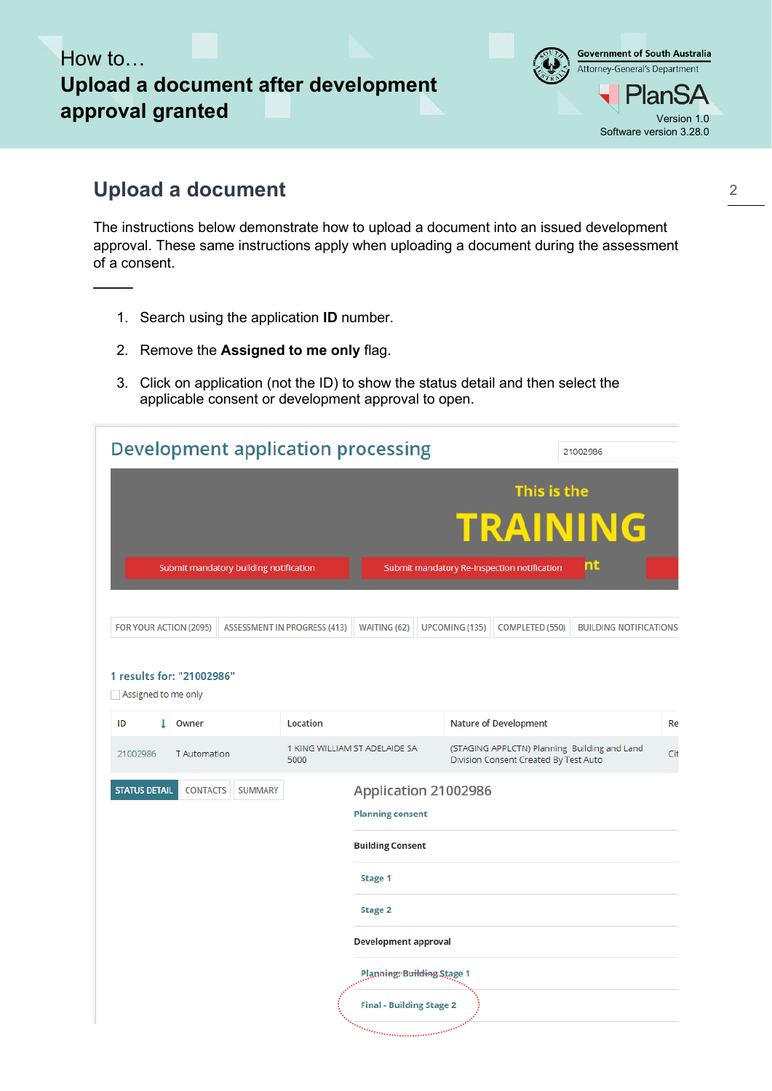# How to… **Upload a document after development approval granted** Version 1.0



### **Upload a document**

**\_\_\_\_\_**

The instructions below demonstrate how to upload a document into an issued development approval. These same instructions apply when uploading a document during the assessment of a consent.

- 1. Search using the application **ID** number.
- 2. Remove the **Assigned to me only** flag.
- 3. Click on application (not the ID) to show the status detail and then select the applicable consent or development approval to open.

|                      |                                                  |                                        | <b>Development application processing</b> |                                                 |                |                                                                                       | 21002986                      |     |
|----------------------|--------------------------------------------------|----------------------------------------|-------------------------------------------|-------------------------------------------------|----------------|---------------------------------------------------------------------------------------|-------------------------------|-----|
|                      |                                                  | Submit mandatory building notification |                                           |                                                 |                | This is the<br>Submit mandatory Re-Inspection notification                            | <b>TRAINING</b><br>m          |     |
|                      | FOR YOUR ACTION (2095)                           |                                        | <b>ASSESSMENT IN PROGRESS (413)</b>       | WAITING (62)                                    | UPCOMING (135) | COMPLETED (550)                                                                       | <b>BUILDING NOTIFICATIONS</b> |     |
|                      | 1 results for: "21002986"<br>Assigned to me only |                                        |                                           |                                                 |                |                                                                                       |                               |     |
| ID                   | Owner                                            |                                        | Location                                  |                                                 |                | <b>Nature of Development</b>                                                          |                               | Re  |
| 21002986             | <b>T</b> Automation                              |                                        | 1 KING WILLIAM ST ADELAIDE SA<br>5000     |                                                 |                | (STAGING APPLCTN) Planning Building and Land<br>Division Consent Created By Test Auto |                               | Cit |
| <b>STATUS DETAIL</b> | <b>CONTACTS</b>                                  | <b>SUMMARY</b>                         |                                           | Application 21002986<br><b>Planning consent</b> |                |                                                                                       |                               |     |
|                      |                                                  |                                        |                                           | <b>Building Consent</b>                         |                |                                                                                       |                               |     |
|                      |                                                  |                                        |                                           | Stage 1                                         |                |                                                                                       |                               |     |
|                      |                                                  |                                        |                                           | <b>Stage 2</b>                                  |                |                                                                                       |                               |     |
|                      |                                                  |                                        |                                           | <b>Development approval</b>                     |                |                                                                                       |                               |     |
|                      |                                                  |                                        |                                           | <b>Planning: Building Stage 1</b>               |                |                                                                                       |                               |     |
|                      |                                                  |                                        |                                           | <b>Final - Building Stage 2</b>                 |                |                                                                                       |                               |     |
|                      |                                                  |                                        |                                           | u <sub>ran m</sub> engan                        |                |                                                                                       |                               |     |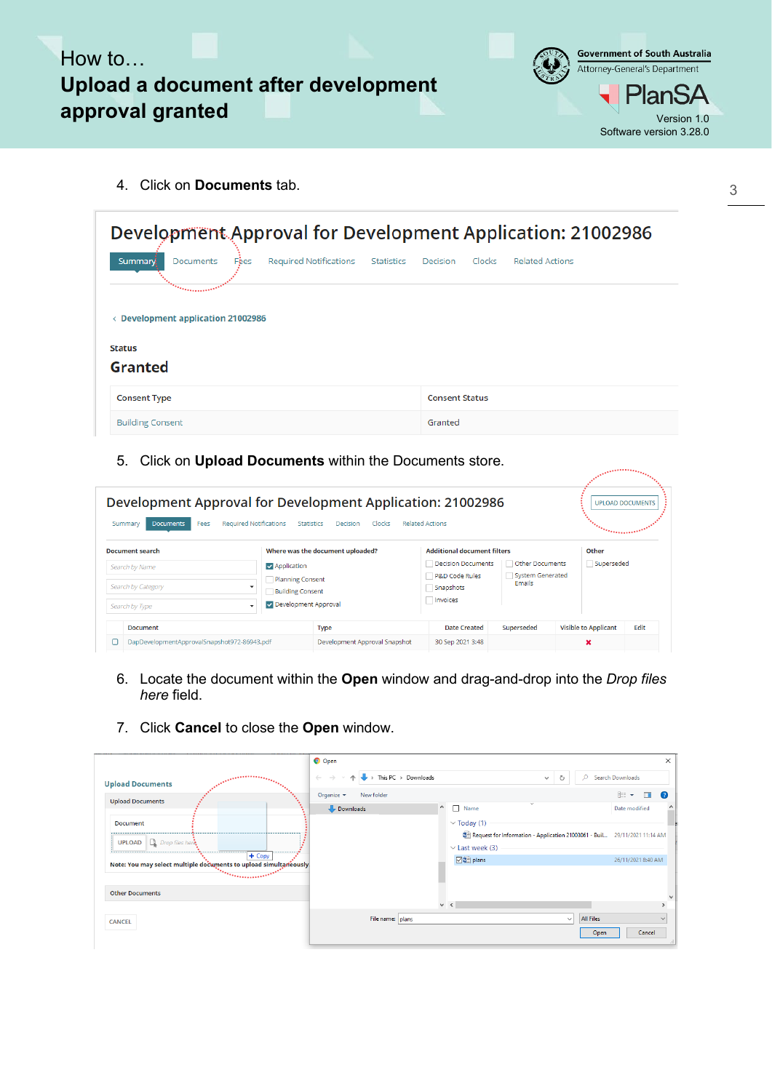



arinining <sub>an</sub>

4. Click on **Documents** tab.

| Development Approval for Development Application: 21002986                                          |                                              |  |  |  |  |  |  |  |
|-----------------------------------------------------------------------------------------------------|----------------------------------------------|--|--|--|--|--|--|--|
| Required Notifications<br><b>Documents</b><br>Summary.<br>Statistics<br>Fées<br><u> Marian mara</u> | Clocks<br><b>Related Actions</b><br>Decision |  |  |  |  |  |  |  |
| < Development application 21002986                                                                  |                                              |  |  |  |  |  |  |  |
| <b>Status</b><br>Granted                                                                            |                                              |  |  |  |  |  |  |  |
| <b>Consent Type</b>                                                                                 | <b>Consent Status</b>                        |  |  |  |  |  |  |  |
| <b>Building Consent</b>                                                                             | Granted                                      |  |  |  |  |  |  |  |

5. Click on **Upload Documents** within the Documents store.

| Development Approval for Development Application: 21002986<br><b>Required Notifications</b><br><b>Documents</b><br>Fees<br>Summary | <b>Statistics</b>                                                                                  | Decision<br><b>Clocks</b>                    | <b>Related Actions</b>                                                                                         |                                               | <b><i>Community</i></b>          | <b>UPLOAD DOCUMENTS</b> |
|------------------------------------------------------------------------------------------------------------------------------------|----------------------------------------------------------------------------------------------------|----------------------------------------------|----------------------------------------------------------------------------------------------------------------|-----------------------------------------------|----------------------------------|-------------------------|
| <b>Document search</b><br>Search by Name<br>Search by Category<br>Search by Type<br>$\overline{\phantom{a}}$                       | <b>V</b> Application<br><b>Planning Consent</b><br><b>Building Consent</b><br>Development Approval | Where was the document uploaded?             | <b>Additional document filters</b><br>Decision Documents<br><b>P&amp;D Code Rules</b><br>Snapshots<br>Invoices | Other Documents<br>System Generated<br>Emails | Other<br>Superseded              |                         |
| <b>Document</b><br>DapDevelopmentApprovalSnapshot972-86943.pdf                                                                     |                                                                                                    | <b>Type</b><br>Development Approval Snapshot | <b>Date Created</b><br>30 Sep 2021 3:48                                                                        | Superseded                                    | <b>Visible to Applicant</b><br>× | Edit                    |

- 6. Locate the document within the **Open** window and drag-and-drop into the *Drop files here* field.
- 7. Click **Cancel** to close the **Open** window.

| $\overline{\phantom{a}}\rightarrow$ This PC $\rightarrow$ Downloads<br>C Search Downloads<br>$\leftarrow$ $\rightarrow$<br>Ō<br><b>Continued in the Second Service</b><br>$\wedge$<br>$\checkmark$<br><b>Upload Documents</b><br>Organize $\blacktriangledown$<br>New folder<br><b>Upload Documents</b><br>$\wedge$<br>$\Box$<br>Name<br>Date modified<br>Downloads<br>$\vee$ Today (1)<br><b>Document</b><br>Request for Information - Application 21003061 - Buil 29/11/2021 11:14 AM<br><b>UPLOAD D</b> <i>Drop files here</i><br>$\vee$ Last week (3)<br>$+$ Copy<br><b>☑ □</b> plans<br>Note: You may select multiple documents to upload simultaneously<br>$\begin{array}{c}\n\hline\n\end{array} \begin{bmatrix}\n\ddots \\ \ddots \\ \ddots\n\end{bmatrix}$ | $\mathbb{H}$ $\sim$ $\Box$ $\odot$ |
|---------------------------------------------------------------------------------------------------------------------------------------------------------------------------------------------------------------------------------------------------------------------------------------------------------------------------------------------------------------------------------------------------------------------------------------------------------------------------------------------------------------------------------------------------------------------------------------------------------------------------------------------------------------------------------------------------------------------------------------------------------------------|------------------------------------|
|                                                                                                                                                                                                                                                                                                                                                                                                                                                                                                                                                                                                                                                                                                                                                                     |                                    |
|                                                                                                                                                                                                                                                                                                                                                                                                                                                                                                                                                                                                                                                                                                                                                                     |                                    |
|                                                                                                                                                                                                                                                                                                                                                                                                                                                                                                                                                                                                                                                                                                                                                                     |                                    |
|                                                                                                                                                                                                                                                                                                                                                                                                                                                                                                                                                                                                                                                                                                                                                                     |                                    |
|                                                                                                                                                                                                                                                                                                                                                                                                                                                                                                                                                                                                                                                                                                                                                                     |                                    |
|                                                                                                                                                                                                                                                                                                                                                                                                                                                                                                                                                                                                                                                                                                                                                                     |                                    |
|                                                                                                                                                                                                                                                                                                                                                                                                                                                                                                                                                                                                                                                                                                                                                                     | 26/11/2021 8:40 AM                 |
|                                                                                                                                                                                                                                                                                                                                                                                                                                                                                                                                                                                                                                                                                                                                                                     |                                    |
| <b>Other Documents</b>                                                                                                                                                                                                                                                                                                                                                                                                                                                                                                                                                                                                                                                                                                                                              |                                    |
| $\vee$ <                                                                                                                                                                                                                                                                                                                                                                                                                                                                                                                                                                                                                                                                                                                                                            |                                    |
| File name: plans<br><b>All Files</b><br>$\vee$<br><b>CANCEL</b>                                                                                                                                                                                                                                                                                                                                                                                                                                                                                                                                                                                                                                                                                                     | w                                  |
| Open                                                                                                                                                                                                                                                                                                                                                                                                                                                                                                                                                                                                                                                                                                                                                                |                                    |